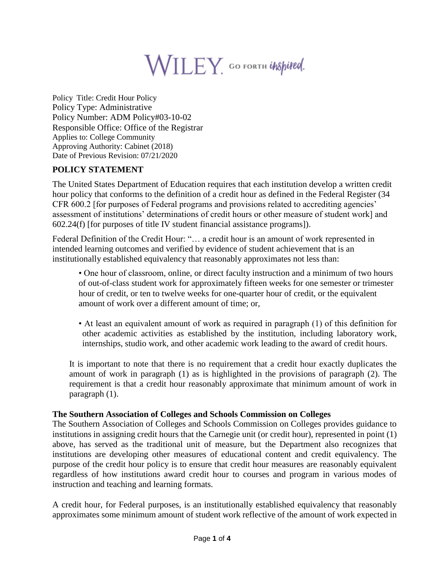

Policy Title: Credit Hour Policy Policy Type: Administrative Policy Number: ADM Policy#03-10-02 Responsible Office: Office of the Registrar Applies to: College Community Approving Authority: Cabinet (2018) Date of Previous Revision: 07/21/2020

# **POLICY STATEMENT**

The United States Department of Education requires that each institution develop a written credit hour policy that conforms to the definition of a credit hour as defined in the Federal Register (34 CFR 600.2 [for purposes of Federal programs and provisions related to accrediting agencies' assessment of institutions' determinations of credit hours or other measure of student work] and 602.24(f) [for purposes of title IV student financial assistance programs]).

Federal Definition of the Credit Hour: "… a credit hour is an amount of work represented in intended learning outcomes and verified by evidence of student achievement that is an institutionally established equivalency that reasonably approximates not less than:

• One hour of classroom, online, or direct faculty instruction and a minimum of two hours of out-of-class student work for approximately fifteen weeks for one semester or trimester hour of credit, or ten to twelve weeks for one-quarter hour of credit, or the equivalent amount of work over a different amount of time; or,

• At least an equivalent amount of work as required in paragraph (1) of this definition for other academic activities as established by the institution, including laboratory work, internships, studio work, and other academic work leading to the award of credit hours.

It is important to note that there is no requirement that a credit hour exactly duplicates the amount of work in paragraph (1) as is highlighted in the provisions of paragraph (2). The requirement is that a credit hour reasonably approximate that minimum amount of work in paragraph (1).

#### **The Southern Association of Colleges and Schools Commission on Colleges**

The Southern Association of Colleges and Schools Commission on Colleges provides guidance to institutions in assigning credit hours that the Carnegie unit (or credit hour), represented in point (1) above, has served as the traditional unit of measure, but the Department also recognizes that institutions are developing other measures of educational content and credit equivalency. The purpose of the credit hour policy is to ensure that credit hour measures are reasonably equivalent regardless of how institutions award credit hour to courses and program in various modes of instruction and teaching and learning formats.

A credit hour, for Federal purposes, is an institutionally established equivalency that reasonably approximates some minimum amount of student work reflective of the amount of work expected in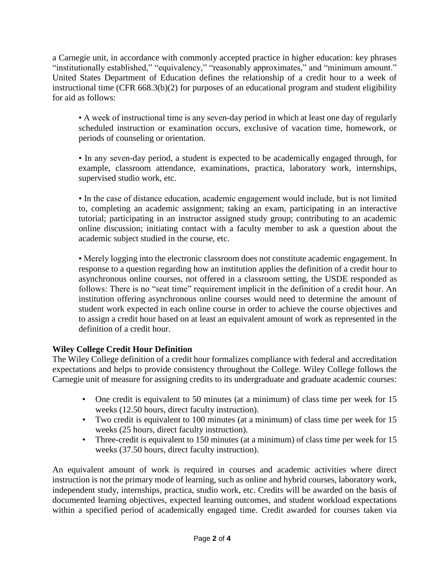a Carnegie unit, in accordance with commonly accepted practice in higher education: key phrases "institutionally established," "equivalency," "reasonably approximates," and "minimum amount." United States Department of Education defines the relationship of a credit hour to a week of instructional time (CFR 668.3(b)(2) for purposes of an educational program and student eligibility for aid as follows:

• A week of instructional time is any seven-day period in which at least one day of regularly scheduled instruction or examination occurs, exclusive of vacation time, homework, or periods of counseling or orientation.

• In any seven-day period, a student is expected to be academically engaged through, for example, classroom attendance, examinations, practica, laboratory work, internships, supervised studio work, etc.

• In the case of distance education, academic engagement would include, but is not limited to, completing an academic assignment; taking an exam, participating in an interactive tutorial; participating in an instructor assigned study group; contributing to an academic online discussion; initiating contact with a faculty member to ask a question about the academic subject studied in the course, etc.

• Merely logging into the electronic classroom does not constitute academic engagement. In response to a question regarding how an institution applies the definition of a credit hour to asynchronous online courses, not offered in a classroom setting, the USDE responded as follows: There is no "seat time" requirement implicit in the definition of a credit hour. An institution offering asynchronous online courses would need to determine the amount of student work expected in each online course in order to achieve the course objectives and to assign a credit hour based on at least an equivalent amount of work as represented in the definition of a credit hour.

## **Wiley College Credit Hour Definition**

The Wiley College definition of a credit hour formalizes compliance with federal and accreditation expectations and helps to provide consistency throughout the College. Wiley College follows the Carnegie unit of measure for assigning credits to its undergraduate and graduate academic courses:

- One credit is equivalent to 50 minutes (at a minimum) of class time per week for 15 weeks (12.50 hours, direct faculty instruction).
- Two credit is equivalent to 100 minutes (at a minimum) of class time per week for 15 weeks (25 hours, direct faculty instruction).
- Three-credit is equivalent to 150 minutes (at a minimum) of class time per week for 15 weeks (37.50 hours, direct faculty instruction).

An equivalent amount of work is required in courses and academic activities where direct instruction is not the primary mode of learning, such as online and hybrid courses, laboratory work, independent study, internships, practica, studio work, etc. Credits will be awarded on the basis of documented learning objectives, expected learning outcomes, and student workload expectations within a specified period of academically engaged time. Credit awarded for courses taken via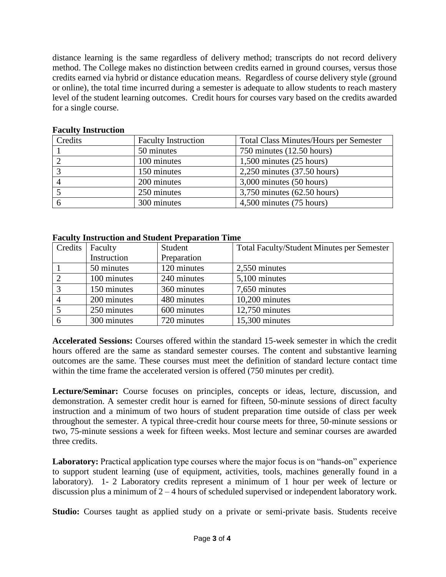distance learning is the same regardless of delivery method; transcripts do not record delivery method. The College makes no distinction between credits earned in ground courses, versus those credits earned via hybrid or distance education means. Regardless of course delivery style (ground or online), the total time incurred during a semester is adequate to allow students to reach mastery level of the student learning outcomes. Credit hours for courses vary based on the credits awarded for a single course.

| Credits | <b>Faculty Instruction</b> | <b>Total Class Minutes/Hours per Semester</b> |
|---------|----------------------------|-----------------------------------------------|
|         | 50 minutes                 | 750 minutes $(12.50$ hours)                   |
|         | 100 minutes                | $1,500$ minutes $(25$ hours)                  |
|         | 150 minutes                | $2,250$ minutes $(37.50$ hours)               |
|         | 200 minutes                | $3,000$ minutes $(50$ hours)                  |
|         | 250 minutes                | $3,750$ minutes $(62.50$ hours)               |
|         | 300 minutes                | 4,500 minutes (75 hours)                      |

### **Faculty Instruction**

#### **Faculty Instruction and Student Preparation Time**

| Credits       | Faculty     | Student     | <b>Total Faculty/Student Minutes per Semester</b> |
|---------------|-------------|-------------|---------------------------------------------------|
|               | Instruction | Preparation |                                                   |
|               | 50 minutes  | 120 minutes | 2,550 minutes                                     |
|               | 100 minutes | 240 minutes | 5,100 minutes                                     |
| $\mathcal{R}$ | 150 minutes | 360 minutes | 7,650 minutes                                     |
|               | 200 minutes | 480 minutes | $10,200$ minutes                                  |
|               | 250 minutes | 600 minutes | $12,750$ minutes                                  |
| 6             | 300 minutes | 720 minutes | 15,300 minutes                                    |

**Accelerated Sessions:** Courses offered within the standard 15-week semester in which the credit hours offered are the same as standard semester courses. The content and substantive learning outcomes are the same. These courses must meet the definition of standard lecture contact time within the time frame the accelerated version is offered (750 minutes per credit).

**Lecture/Seminar:** Course focuses on principles, concepts or ideas, lecture, discussion, and demonstration. A semester credit hour is earned for fifteen, 50-minute sessions of direct faculty instruction and a minimum of two hours of student preparation time outside of class per week throughout the semester. A typical three-credit hour course meets for three, 50-minute sessions or two, 75-minute sessions a week for fifteen weeks. Most lecture and seminar courses are awarded three credits.

**Laboratory:** Practical application type courses where the major focus is on "hands-on" experience to support student learning (use of equipment, activities, tools, machines generally found in a laboratory). 1- 2 Laboratory credits represent a minimum of 1 hour per week of lecture or discussion plus a minimum of 2 – 4 hours of scheduled supervised or independent laboratory work.

**Studio:** Courses taught as applied study on a private or semi-private basis. Students receive